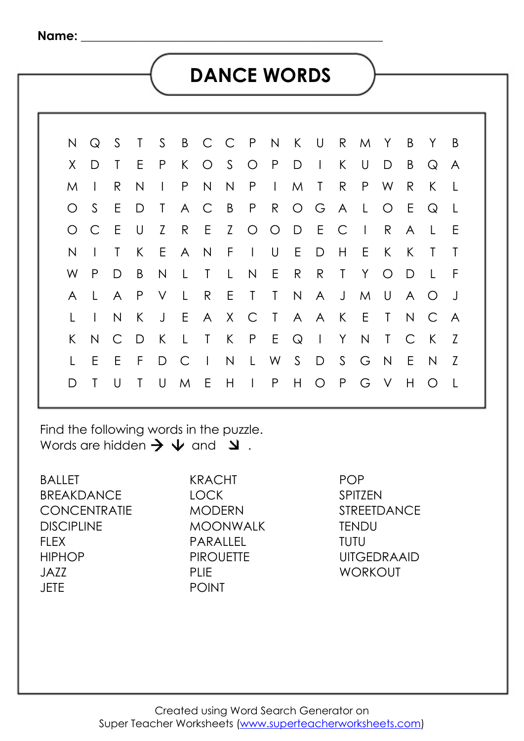### **DANCE WORDS**

|  |              | N Q S T S    |                |       |           | B C C P N K U R M Y |        |                |              |             |                 |   |         |     | BY.            |                                 | - B |  |
|--|--------------|--------------|----------------|-------|-----------|---------------------|--------|----------------|--------------|-------------|-----------------|---|---------|-----|----------------|---------------------------------|-----|--|
|  | X.           | D            | $T \tE$        |       | P         | $\mathsf{K}$        |        |                |              | O S O P D I |                 |   | $K$ U   | D   | B              | $\mathsf{Q}$                    | - A |  |
|  | M            | $\Box$       | R              | N     | $\vert$ P |                     | N      |                |              | $N$ $P$ $I$ | M T R P         |   |         | W   | $\mathsf{R}$   | $\mathsf{K}$                    | - L |  |
|  |              | $O_S$        |                | E D T |           | A C                 |        |                |              |             | B P R O G A L O |   |         |     | $-E$           | $\mathsf{Q}$                    |     |  |
|  | $\circ$      | $\mathsf{C}$ | E U            |       | Z         | R                   |        |                |              |             | E Z O O D E C I |   |         | R   | $\mathsf{A}$   | $\perp$                         | - E |  |
|  | N            | $\Box$       | $\top$         |       | K E       | A N                 |        | F              | $\mathbb{R}$ | U E         | $\Box$          | H | E.      | K   | K              | $\mathsf{T}$                    |     |  |
|  | W            | $\mathsf{P}$ | $\Box$         | B     | N         | $\mathsf{L}$        | $\top$ | $\mathsf{L}$ . | N            | E R         |                 |   | R T Y O |     | D              | $\perp$                         | - F |  |
|  | $\mathsf{A}$ | $\perp$      | $\overline{A}$ | P V   |           | $\mathsf{L}$        | R      |                |              |             | E T T N A J M U |   |         |     | $\overline{A}$ | $\circ$                         |     |  |
|  |              | $\mathbb{R}$ |                |       |           |                     |        |                |              |             |                 |   |         |     |                | N K J E A X C T A A K E T N C A |     |  |
|  | K.           | N            |                | C D K |           | $\mathsf{L}$        | $\top$ |                |              |             | K P E Q I Y N   |   |         | T C |                | K                               | Z   |  |
|  |              | E            | - E            | F D C |           |                     |        |                |              |             | IN L W S D S G  |   |         | N   | $-E$           | N                               | Z   |  |
|  | D            | $\top$       | $\cup$         |       | T U M     |                     | E.     | H              |              |             | I P H O P G V   |   |         |     | H              | $\bigcirc$                      |     |  |
|  |              |              |                |       |           |                     |        |                |              |             |                 |   |         |     |                |                                 |     |  |

Find the following words in the puzzle. Words are hidden  $\rightarrow \sqrt{}$  and  $\rightarrow$ .

BALLET BREAKDANCE **CONCENTRATIE DISCIPLINE** FLEX **HIPHOP** JAZZ **JETE** 

KRACHT LOCK **MODERN** MOONWALK PARALLEL **PIROUETTE** PLIE POINT

POP SPITZEN STREETDANCE **TENDU** TUTU UITGEDRAAID **WORKOUT**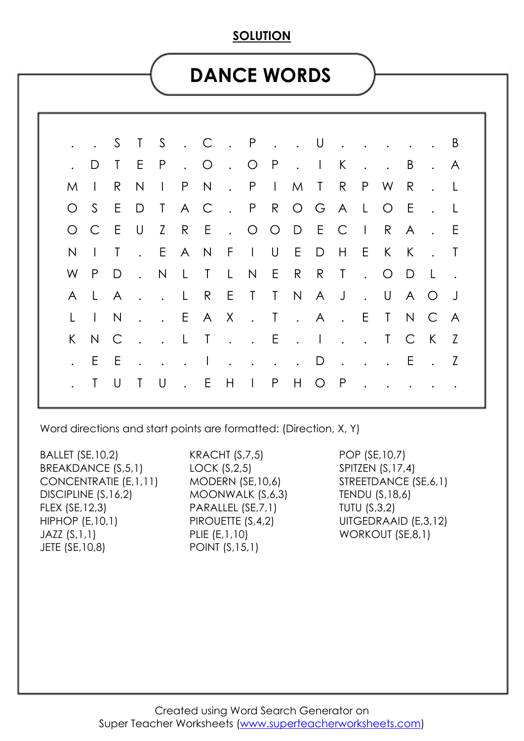#### **SOLUTION**

## **DANCE WORDS**

|  |          |                               |        |           |           | S T S . C . P U B             |  |  |  |                          |         |   |     |  |
|--|----------|-------------------------------|--------|-----------|-----------|-------------------------------|--|--|--|--------------------------|---------|---|-----|--|
|  |          |                               | D T E  |           |           | P.O.OP. IK                    |  |  |  | $\sim$ $\sim$            | . B     |   | . A |  |
|  | $M \mid$ |                               | R      | N         |           | I P N . P I M T R P W R       |  |  |  |                          |         |   | . L |  |
|  |          |                               |        |           | O S E D T | A C . P R O G A L O E         |  |  |  |                          |         |   | . L |  |
|  |          |                               |        | O C E U Z |           | R E . O O D E C I R A         |  |  |  |                          |         |   | . E |  |
|  | N.       | $\Box$ T                      |        |           |           | . EANFIUEDHEK                 |  |  |  |                          |         | K | . Т |  |
|  | W P      |                               | $\Box$ |           |           | . N L T L N E R R T . O D L   |  |  |  |                          |         |   |     |  |
|  |          | ALA                           |        |           |           | . . L R E T T N A J . U A O J |  |  |  |                          |         |   |     |  |
|  |          | $\lfloor$ $\lfloor$ $\rfloor$ | N      |           |           | . . EAX . T . A . E T N C A   |  |  |  |                          |         |   |     |  |
|  |          | K N C                         |        |           |           | . . L T E . I T C K Z         |  |  |  |                          |         |   |     |  |
|  |          | E E                           |        |           |           | . 1 D                         |  |  |  |                          | . E . Z |   |     |  |
|  |          |                               | T U    |           |           | TU. EHIPHOP                   |  |  |  | $\overline{\phantom{a}}$ |         |   |     |  |
|  |          |                               |        |           |           |                               |  |  |  |                          |         |   |     |  |

Word directions and start points are formatted: (Direction, X, Y)

BALLET (SE,10,2) BREAKDANCE (S,5,1) CONCENTRATIE (E,1,11) DISCIPLINE (S,16,2) FLEX (SE,12,3) HIPHOP (E,10,1) JAZZ (S,1,1) JETE (SE,10,8)

KRACHT (S,7,5) LOCK (S,2,5) MODERN (SE,10,6) MOONWALK (S,6,3) PARALLEL (SE,7,1) PIROUETTE (S,4,2) PLIE (E,1,10) POINT (S,15,1)

POP (SE,10,7) SPITZEN (S,17,4) STREETDANCE (SE,6,1) TENDU (S,18,6) TUTU (S,3,2) UITGEDRAAID (E,3,12) WORKOUT (SE,8,1)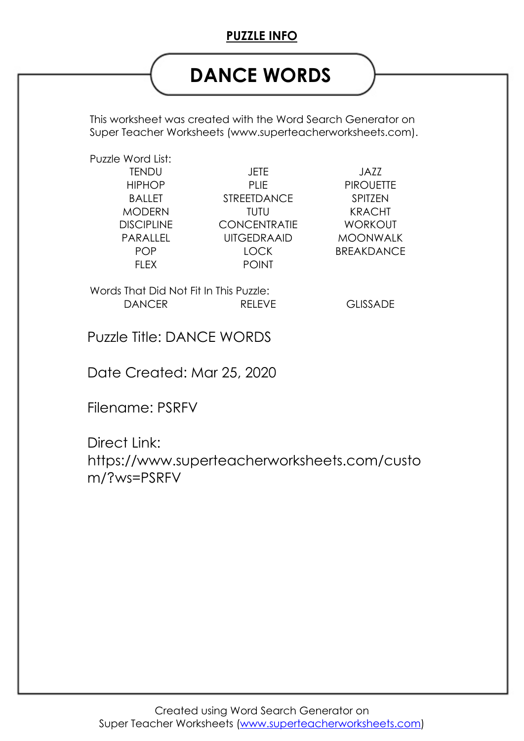### **PUZZLE INFO**

# **DANCE WORDS**

This worksheet was created with the Word Search Generator on Super Teacher Worksheets (www.superteacherworksheets.com).

Puzzle Word List:

TENDU JETE JAZZ HIPHOP PLIE PIROUETTE BALLET STREETDANCE SPITZEN MODERN TUTU KRACHT DISCIPLINE CONCENTRATIE WORKOUT FLEX POINT

PARALLEL UITGEDRAAID MOONWALK POP LOCK BREAKDANCE

Words That Did Not Fit In This Puzzle: DANCER RELEVE GLISSADE

Puzzle Title: DANCE WORDS

Date Created: Mar 25, 2020

Filename: PSRFV

Direct Link: https://www.superteacherworksheets.com/custo m/?ws=PSRFV